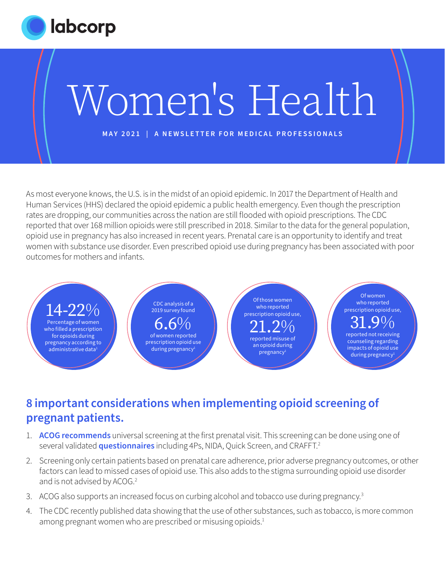

As most everyone knows, the U.S. is in the midst of an opioid epidemic. In 2017 the Department of Health and Human Services (HHS) declared the opioid epidemic a public health emergency. Even though the prescription rates are dropping, our communities across the nation are still flooded with opioid prescriptions. The CDC reported that over 168 million opioids were still prescribed in 2018. Similar to the data for the general population, opioid use in pregnancy has also increased in recent years. Prenatal care is an opportunity to identify and treat women with substance use disorder. Even prescribed opioid use during pregnancy has been associated with poor outcomes for mothers and infants.



## **8 important considerations when implementing opioid screening of pregnant patients.**

- 1. **[ACOG recommends](https://www.acog.org/clinical/clinical-guidance/committee-opinion/articles/2017/08/opioid-use-and-opioid-use-disorder-in-pregnancy)** universal screening at the first prenatal visit. This screening can be done using one of several validated **[questionnaires](https://www.drugabuse.gov/nidamed-medical-health-professionals/screening-tools-resources/chart-screening-tools)** including 4Ps, NIDA, Quick Screen, and CRAFFT.2
- 2. Screening only certain patients based on prenatal care adherence, prior adverse pregnancy outcomes, or other factors can lead to missed cases of opioid use. This also adds to the stigma surrounding opioid use disorder and is not advised by ACOG.<sup>2</sup>
- 3. ACOG also supports an increased focus on curbing alcohol and tobacco use during pregnancy.<sup>3</sup>
- 4. The CDC recently published data showing that the use of other substances, such as tobacco, is more common among pregnant women who are prescribed or misusing opioids.<sup>1</sup>